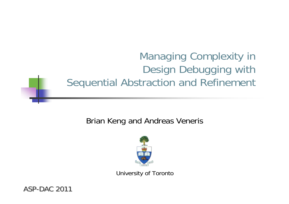# Managing Complexity in Design Debugging with Sequential Abstraction and Refinement

#### Brian Keng and Andreas Veneris



University of Toronto

ASP-DAC 2011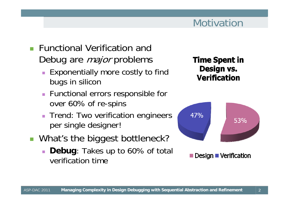- Г Functional Verification and Debug are *major* problems
	- Exponentially more costly to find bugs in silicon
	- Functional errors responsible for over 60% of re-spins
	- **Trend: Two verification engineers** per single designer!
- F. What's the biggest bottleneck?
	- **Debug**: Takes up to 60% of total verification time

**Time Spent in** Design vs. **Verification** 



Design  $\blacksquare$  Verification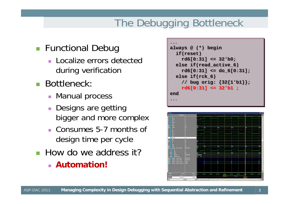# The Debugging Bottleneck

#### **Functional Debug**

- **Localize errors detected** during verification
- Bottleneck:
	- **Manual process**
	- **Designs are getting** bigger and more complex
	- Consumes 5-7 months of design time per cycle
- **How do we address it?**

**Automation!**

```
always @ (*) begin
always @ (*) begin
    if(reset)
if(reset)
        rd6[0:31] <= 32'b0;
rd6[0:31] <= 32'b0;
    else if(read_active_6)
else if(read_active_6)
        rd6[0:31] <= do_6[0:31];
rd6[0:31] <= do_6[0:31];
    else if(rck_6)
else if(rck_6)
        // bug orig: {32{1'b1}};
// bug orig: {32{1'b1}};
        rd6[0:31] <= 32'b1 ;
rd6[0:31] <= 32'b1 ;
endend......
```
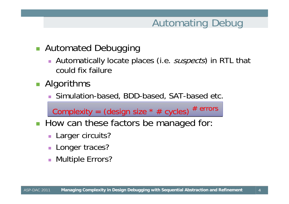## Automating Debug

4

#### **Automated Debugging**

 $\overline{\phantom{a}}$ Automatically locate places (i.e. *suspects*) in RTL that could fix failure

#### **Algorithms**

Simulation-based, BDD-based, SAT-based etc.

Complexity = (design size  $*$  # cycles)  $*$  errors

- **How can these factors be managed for:** 
	- **Larger circuits?**
	- $\overline{\phantom{a}}$ Longer traces?
	- $\mathcal{L}_{\mathcal{A}}$ Multiple Errors?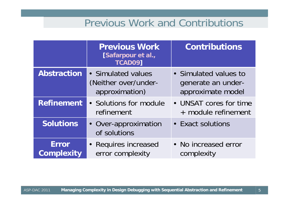#### Previous Work and Contributions

|                                   | <b>Previous Work</b><br>[Safarpour et al.,<br><b>TCAD09]</b> | <b>Contributions</b>                                             |  |
|-----------------------------------|--------------------------------------------------------------|------------------------------------------------------------------|--|
| <b>Abstraction</b>                | • Simulated values<br>(Neither over/under-<br>approximation) | • Simulated values to<br>generate an under-<br>approximate model |  |
| <b>Refinement</b>                 | • Solutions for module<br>refinement                         | • UNSAT cores for time<br>+ module refinement                    |  |
| <b>Solutions</b>                  | • Over-approximation<br>of solutions                         | • Exact solutions                                                |  |
| <b>Error</b><br><b>Complexity</b> | • Requires increased<br>error complexity                     | • No increased error<br>complexity                               |  |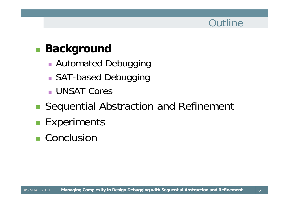### **Outline**

#### $\mathbb{R}^3$ **Background**

- **Automated Debugging**
- SAT-based Debugging
- UNSAT Cores
- ■ Sequential Abstraction and Refinement
- **Experiments**
- Conclusion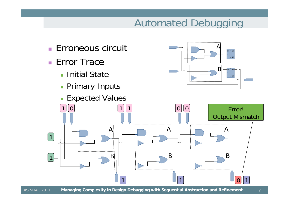# Automated Debugging

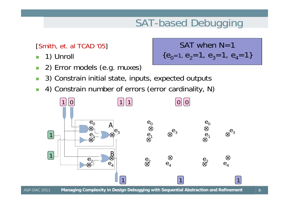# SAT-based Debugging

#### [Smith, et. al TCAD '05]

- 1) Unroll
- m. 2) Error models (e.g. muxes)

SAT when N=1  
{
$$
e_0
$$
=1,  $e_2$ =1,  $e_3$ =1,  $e_4$ =1}

- F 3) Constrain initial state, inputs, expected outputs
- 4) Constrain number of errors (error cardinality, N)

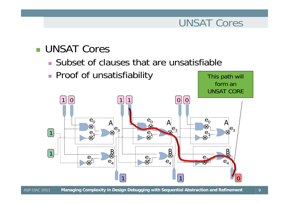#### UNSAT Cores

This path will

#### ■ UNSAT Cores

- Subset of clauses that are unsatisfiable
- **Proof of unsatisfiability**

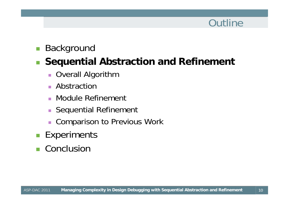## **Outline**

10

#### $\mathcal{L}_{\mathcal{A}}$ Background

#### $\mathcal{L}_{\mathcal{A}}$ **Sequential Abstraction and Refinement**

- **D** Overall Algorithm
- $\blacksquare$ Abstraction
- $\mathbf{r}$ Module Refinement
- $\overline{\phantom{a}}$ Sequential Refinement
- $\blacksquare$ Comparison to Previous Work
- $\mathcal{L}^{\mathcal{A}}$ **Experiments**
- Conclusion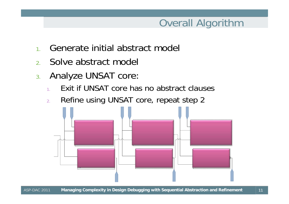## Overall Algorithm

- 1.Generate initial abstract model
- 2.Solve abstract model
- 3. Analyze UNSAT core:
	- 1.Exit if UNSAT core has no abstract clauses
	- 2.Refine using UNSAT core, repeat step 2

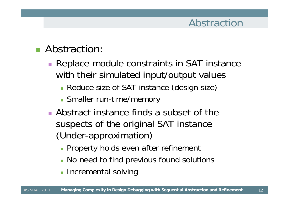## Abstraction

12

#### **Abstraction:**

- **Replace module constraints in SAT instance** with their simulated input/output values
	- Reduce size of SAT instance (design size)
	- **Smaller run-time/memory**
- Abstract instance finds a subset of the suspects of the original SAT instance (Under-approximation)
	- **Property holds even after refinement**
	- **No need to find previous found solutions**
	- **Incremental solving**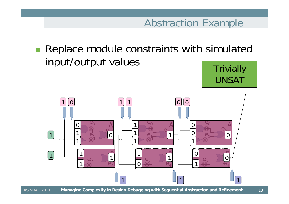### Abstraction Example

UNSAT

**Replace module constraints with simulated** input/output values **Trivially** 

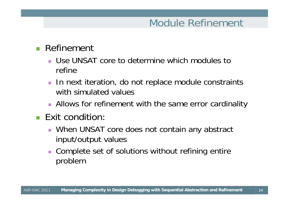## Module Refinement

14

#### $\mathcal{L}_{\mathcal{A}}$ Refinement

- Use UNSAT core to determine which modules to refine
- **IF In next iteration, do not replace module constraints** with simulated values
- **Allows for refinement with the same error cardinality**

#### $\blacksquare$  Exit condition:

- ٠ When UNSAT core does not contain any abstract input/output values
- **Complete set of solutions without refining entire** problem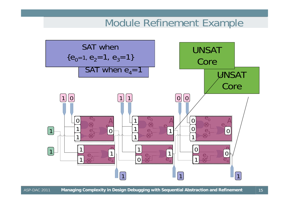#### Module Refinement Example

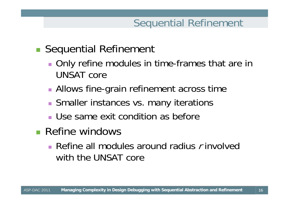## Sequential Refinement

16

## **Sequential Refinement**

- **Only refine modules in time-frames that are in** UNSAT core
- **Allows fine-grain refinement across time**
- **Smaller instances vs. many iterations**
- Use same exit condition as before
- **Refine windows** 
	- Refine all modules around radius  $r$  involved with the UNSAT core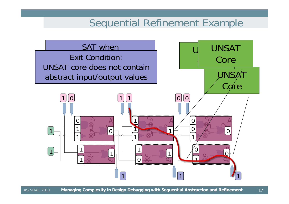#### Sequential Refinement Example

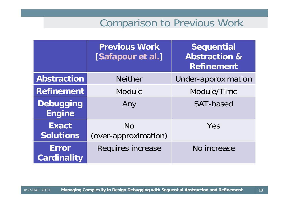#### Comparison to Previous Work

|                                    | <b>Previous Work</b><br>[Safapour et al.] | <b>Sequential</b><br><b>Abstraction &amp;</b><br><b>Refinement</b> |  |
|------------------------------------|-------------------------------------------|--------------------------------------------------------------------|--|
| <b>Abstraction</b>                 | <b>Neither</b>                            | Under-approximation                                                |  |
| <b>Refinement</b>                  | <b>Module</b>                             | Module/Time                                                        |  |
| <b>Debugging</b><br><b>Engine</b>  | Any                                       | <b>SAT-based</b>                                                   |  |
| <b>Exact</b><br><b>Solutions</b>   | <b>No</b><br>(over-approximation)         | Yes                                                                |  |
| <b>Error</b><br><b>Cardinality</b> | Requires increase                         | No increase                                                        |  |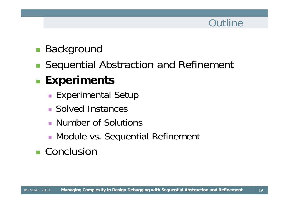### **Outline**

#### $\begin{bmatrix} 1 \\ 1 \end{bmatrix}$ Background

Sequential Abstraction and Refinement

# **Experiments**

- **Experimental Setup**
- Solved Instances
- Number of Solutions
- **Module vs. Sequential Refinement**

# ■ Conclusion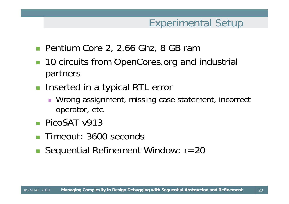### Experimental Setup

- Pentium Core 2, 2.66 Ghz, 8 GB ram
- 10 circuits from OpenCores.org and industrial partners
- **Inserted in a typical RTL error** 
	- $\mathcal{L}_{\mathcal{A}}$  Wrong assignment, missing case statement, incorrect operator, etc.
- **PicoSAT v913**
- Timeout: 3600 seconds
- Sequential Refinement Window: r=20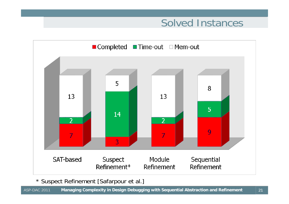#### Solved Instances



\* Suspect Refinement [Safarpour et al.]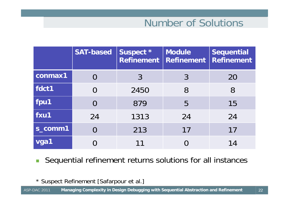### Number of Solutions

|         | <b>SAT-based</b> | Suspect *<br><b>Refinement</b> | <b>Module</b><br><b>Refinement</b> | <b>Sequential</b><br><b>Refinement</b> |
|---------|------------------|--------------------------------|------------------------------------|----------------------------------------|
| conmax1 |                  | 3                              | $\mathcal{S}$                      | 20                                     |
| fdct1   | $\overline{0}$   | 2450                           | 8                                  | 8                                      |
| fpu1    | $\overline{0}$   | 879                            | 5                                  | 15                                     |
| fxu1    | 24               | 1313                           | 24                                 | 24                                     |
| s_comm1 | O                | 213                            | 17                                 | 17                                     |
| vga1    |                  | 11                             |                                    | 14                                     |

 $\Box$ Sequential refinement returns solutions for all instances

\* Suspect Refinement [Safarpour et al.]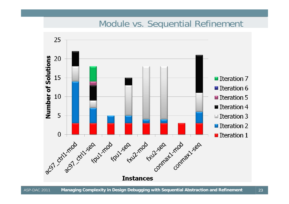#### Module vs. Sequential Refinement